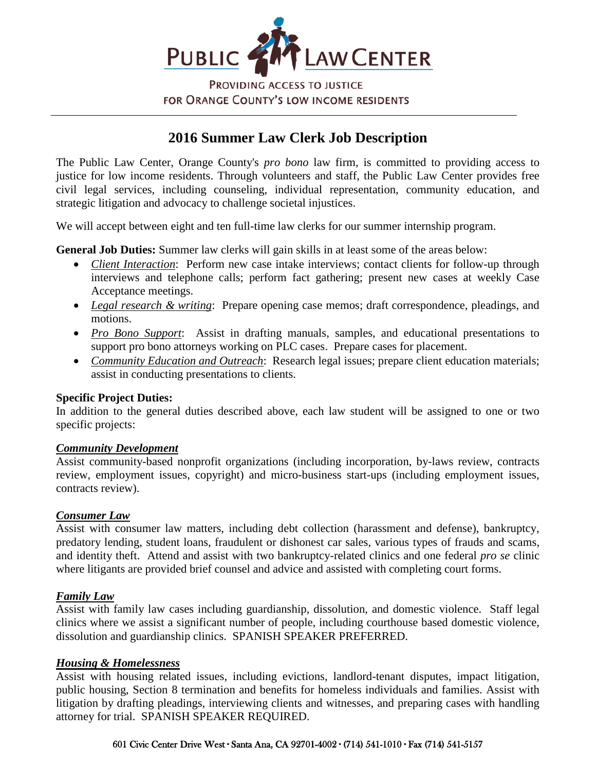

**PROVIDING ACCESS TO JUSTICE** FOR ORANGE COUNTY'S LOW INCOME RESIDENTS

# **2016 Summer Law Clerk Job Description**

The Public Law Center, Orange County's *pro bono* law firm, is committed to providing access to justice for low income residents. Through volunteers and staff, the Public Law Center provides free civil legal services, including counseling, individual representation, community education, and strategic litigation and advocacy to challenge societal injustices.

We will accept between eight and ten full-time law clerks for our summer internship program.

**General Job Duties:** Summer law clerks will gain skills in at least some of the areas below:

- *Client Interaction*: Perform new case intake interviews; contact clients for follow-up through interviews and telephone calls; perform fact gathering; present new cases at weekly Case Acceptance meetings.
- *Legal research & writing*: Prepare opening case memos; draft correspondence, pleadings, and motions.
- *Pro Bono Support*: Assist in drafting manuals, samples, and educational presentations to support pro bono attorneys working on PLC cases. Prepare cases for placement.
- *Community Education and Outreach*: Research legal issues; prepare client education materials; assist in conducting presentations to clients.

# **Specific Project Duties:**

In addition to the general duties described above, each law student will be assigned to one or two specific projects:

#### *Community Development*

Assist community-based nonprofit organizations (including incorporation, by-laws review, contracts review, employment issues, copyright) and micro-business start-ups (including employment issues, contracts review).

#### *Consumer Law*

Assist with consumer law matters, including debt collection (harassment and defense), bankruptcy, predatory lending, student loans, fraudulent or dishonest car sales, various types of frauds and scams, and identity theft. Attend and assist with two bankruptcy-related clinics and one federal *pro se* clinic where litigants are provided brief counsel and advice and assisted with completing court forms.

# *Family Law*

Assist with family law cases including guardianship, dissolution, and domestic violence. Staff legal clinics where we assist a significant number of people, including courthouse based domestic violence, dissolution and guardianship clinics. SPANISH SPEAKER PREFERRED.

#### *Housing & Homelessness*

Assist with housing related issues, including evictions, landlord-tenant disputes, impact litigation, public housing, Section 8 termination and benefits for homeless individuals and families. Assist with litigation by drafting pleadings, interviewing clients and witnesses, and preparing cases with handling attorney for trial. SPANISH SPEAKER REQUIRED.

#### 601 Civic Center Drive West ∙ Santa Ana, CA 92701-4002 ∙ (714) 541-1010 ∙ Fax (714) 541-5157